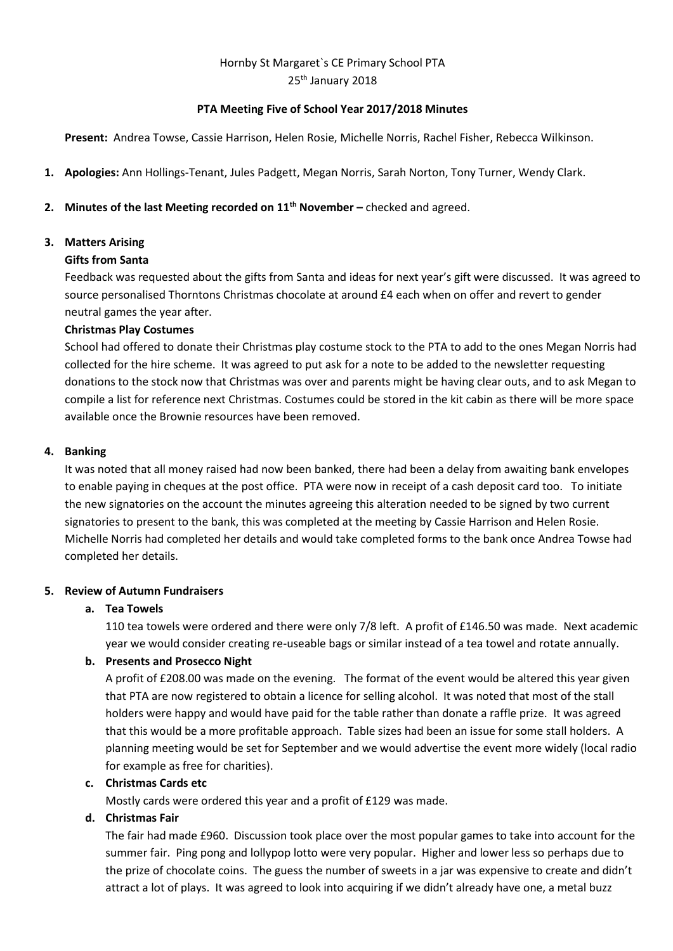# Hornby St Margaret`s CE Primary School PTA 25<sup>th</sup> January 2018

## **PTA Meeting Five of School Year 2017/2018 Minutes**

**Present:** Andrea Towse, Cassie Harrison, Helen Rosie, Michelle Norris, Rachel Fisher, Rebecca Wilkinson.

**1. Apologies:** Ann Hollings-Tenant, Jules Padgett, Megan Norris, Sarah Norton, Tony Turner, Wendy Clark.

## **2. Minutes of the last Meeting recorded on 11th November –** checked and agreed.

### **3. Matters Arising**

#### **Gifts from Santa**

Feedback was requested about the gifts from Santa and ideas for next year's gift were discussed. It was agreed to source personalised Thorntons Christmas chocolate at around £4 each when on offer and revert to gender neutral games the year after.

### **Christmas Play Costumes**

School had offered to donate their Christmas play costume stock to the PTA to add to the ones Megan Norris had collected for the hire scheme. It was agreed to put ask for a note to be added to the newsletter requesting donations to the stock now that Christmas was over and parents might be having clear outs, and to ask Megan to compile a list for reference next Christmas. Costumes could be stored in the kit cabin as there will be more space available once the Brownie resources have been removed.

### **4. Banking**

It was noted that all money raised had now been banked, there had been a delay from awaiting bank envelopes to enable paying in cheques at the post office. PTA were now in receipt of a cash deposit card too. To initiate the new signatories on the account the minutes agreeing this alteration needed to be signed by two current signatories to present to the bank, this was completed at the meeting by Cassie Harrison and Helen Rosie. Michelle Norris had completed her details and would take completed forms to the bank once Andrea Towse had completed her details.

#### **5. Review of Autumn Fundraisers**

## **a. Tea Towels**

110 tea towels were ordered and there were only 7/8 left. A profit of £146.50 was made. Next academic year we would consider creating re-useable bags or similar instead of a tea towel and rotate annually.

## **b. Presents and Prosecco Night**

A profit of £208.00 was made on the evening. The format of the event would be altered this year given that PTA are now registered to obtain a licence for selling alcohol. It was noted that most of the stall holders were happy and would have paid for the table rather than donate a raffle prize. It was agreed that this would be a more profitable approach. Table sizes had been an issue for some stall holders. A planning meeting would be set for September and we would advertise the event more widely (local radio for example as free for charities).

#### **c. Christmas Cards etc**

Mostly cards were ordered this year and a profit of £129 was made.

#### **d. Christmas Fair**

The fair had made £960. Discussion took place over the most popular games to take into account for the summer fair. Ping pong and lollypop lotto were very popular. Higher and lower less so perhaps due to the prize of chocolate coins. The guess the number of sweets in a jar was expensive to create and didn't attract a lot of plays. It was agreed to look into acquiring if we didn't already have one, a metal buzz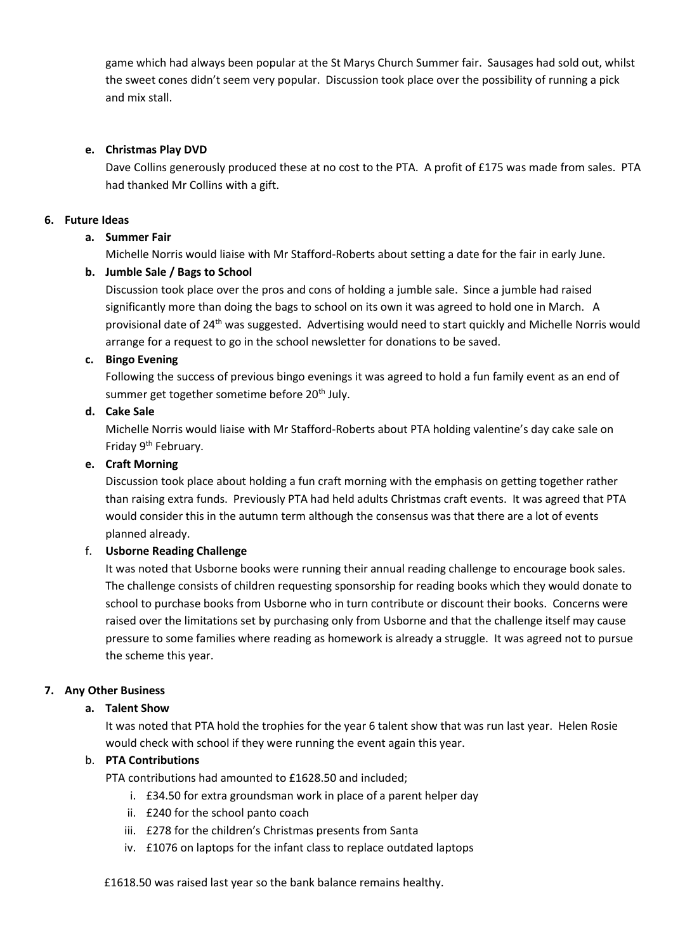game which had always been popular at the St Marys Church Summer fair. Sausages had sold out, whilst the sweet cones didn't seem very popular. Discussion took place over the possibility of running a pick and mix stall.

## **e. Christmas Play DVD**

Dave Collins generously produced these at no cost to the PTA. A profit of £175 was made from sales. PTA had thanked Mr Collins with a gift.

## **6. Future Ideas**

## **a. Summer Fair**

Michelle Norris would liaise with Mr Stafford-Roberts about setting a date for the fair in early June.

### **b. Jumble Sale / Bags to School**

Discussion took place over the pros and cons of holding a jumble sale. Since a jumble had raised significantly more than doing the bags to school on its own it was agreed to hold one in March. A provisional date of 24<sup>th</sup> was suggested. Advertising would need to start quickly and Michelle Norris would arrange for a request to go in the school newsletter for donations to be saved.

## **c. Bingo Evening**

Following the success of previous bingo evenings it was agreed to hold a fun family event as an end of summer get together sometime before 20<sup>th</sup> July.

### **d. Cake Sale**

Michelle Norris would liaise with Mr Stafford-Roberts about PTA holding valentine's day cake sale on Friday 9th February.

### **e. Craft Morning**

Discussion took place about holding a fun craft morning with the emphasis on getting together rather than raising extra funds. Previously PTA had held adults Christmas craft events. It was agreed that PTA would consider this in the autumn term although the consensus was that there are a lot of events planned already.

## f. **Usborne Reading Challenge**

It was noted that Usborne books were running their annual reading challenge to encourage book sales. The challenge consists of children requesting sponsorship for reading books which they would donate to school to purchase books from Usborne who in turn contribute or discount their books. Concerns were raised over the limitations set by purchasing only from Usborne and that the challenge itself may cause pressure to some families where reading as homework is already a struggle. It was agreed not to pursue the scheme this year.

## **7. Any Other Business**

#### **a. Talent Show**

It was noted that PTA hold the trophies for the year 6 talent show that was run last year. Helen Rosie would check with school if they were running the event again this year.

## b. **PTA Contributions**

PTA contributions had amounted to £1628.50 and included;

- i. £34.50 for extra groundsman work in place of a parent helper day
- ii. £240 for the school panto coach
- iii. £278 for the children's Christmas presents from Santa
- iv. £1076 on laptops for the infant class to replace outdated laptops

£1618.50 was raised last year so the bank balance remains healthy.